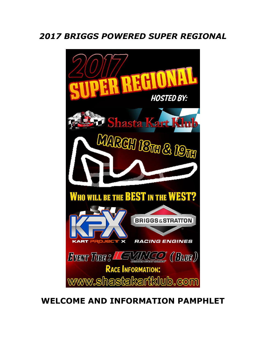# *2017 BRIGGS POWERED SUPER REGIONAL*



# **WELCOME AND INFORMATION PAMPHLET**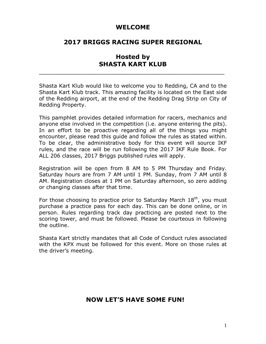#### **WELCOME**

# **2017 BRIGGS RACING SUPER REGIONAL**

# **Hosted by SHASTA KART KLUB**

\_\_\_\_\_\_\_\_\_\_\_\_\_\_\_\_\_\_\_\_\_\_\_\_\_\_\_\_\_\_\_\_\_\_\_\_\_\_\_\_\_\_\_\_\_\_\_\_

Shasta Kart Klub would like to welcome you to Redding, CA and to the Shasta Kart Klub track. This amazing facility is located on the East side of the Redding airport, at the end of the Redding Drag Strip on City of Redding Property.

This pamphlet provides detailed information for racers, mechanics and anyone else involved in the competition (i.e. anyone entering the pits). In an effort to be proactive regarding all of the things you might encounter, please read this guide and follow the rules as stated within. To be clear, the administrative body for this event will source IKF rules, and the race will be run following the 2017 IKF Rule Book. For ALL 206 classes, 2017 Briggs published rules will apply.

Registration will be open from 8 AM to 5 PM Thursday and Friday. Saturday hours are from 7 AM until 1 PM. Sunday, from 7 AM until 8 AM. Registration closes at 1 PM on Saturday afternoon, so zero adding or changing classes after that time.

For those choosing to practice prior to Saturday March  $18<sup>th</sup>$ , you must purchase a practice pass for each day. This can be done online, or in person. Rules regarding track day practicing are posted next to the scoring tower, and must be followed. Please be courteous in following the outline.

Shasta Kart strictly mandates that all Code of Conduct rules associated with the KPX must be followed for this event. More on those rules at the driver's meeting.

# **NOW LET'S HAVE SOME FUN!**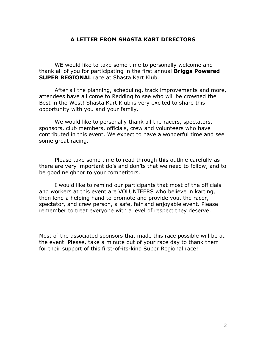#### **A LETTER FROM SHASTA KART DIRECTORS**

WE would like to take some time to personally welcome and thank all of you for participating in the first annual **Briggs Powered SUPER REGIONAL** race at Shasta Kart Klub.

After all the planning, scheduling, track improvements and more, attendees have all come to Redding to see who will be crowned the Best in the West! Shasta Kart Klub is very excited to share this opportunity with you and your family.

We would like to personally thank all the racers, spectators, sponsors, club members, officials, crew and volunteers who have contributed in this event. We expect to have a wonderful time and see some great racing.

Please take some time to read through this outline carefully as there are very important do's and don'ts that we need to follow, and to be good neighbor to your competitors.

I would like to remind our participants that most of the officials and workers at this event are VOLUNTEERS who believe in karting, then lend a helping hand to promote and provide you, the racer, spectator, and crew person, a safe, fair and enjoyable event. Please remember to treat everyone with a level of respect they deserve.

Most of the associated sponsors that made this race possible will be at the event. Please, take a minute out of your race day to thank them for their support of this first-of-its-kind Super Regional race!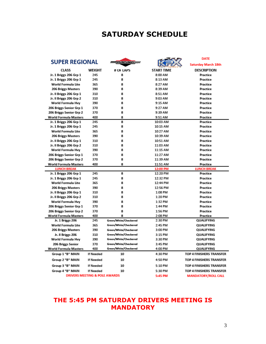# **SATURDAY SCHEDULE**

|                                          |                  |                                                |                            | <b>DATE</b>                            |
|------------------------------------------|------------------|------------------------------------------------|----------------------------|----------------------------------------|
| <b>SUPER REGIONAL</b>                    |                  | Racale                                         |                            | <b>Saturday March 18th</b>             |
| <b>CLASS</b>                             | WEIGHT           | # OF LAPS                                      | START TIME                 | <b>DESCRIPTION</b>                     |
| Jr. 1 Briggs 206 Grp 1                   | 245              | 8                                              | 8:00 AM                    | Practice                               |
| Jr. 1 Briggs 206 Grp 1                   | 245              | 8                                              | 8:13 AM                    | Practice                               |
| World Formula Lite                       | 365              | 8                                              | 8:27 AM                    | Practice                               |
| <b>206 Briggs Masters</b>                | 390              | 8                                              | 8:39 AM                    | Practice                               |
| Jr. Il Briggs 206 Grp 1                  | 310              | 8                                              | 8:51 AM                    | Practice                               |
| Jr. Il Briggs 206 Grp 2                  | 310              | 8                                              | 9:03 AM                    | Practice                               |
| World Formula Hvy                        | 390              | 8                                              | 9:15 AM                    | Practice                               |
| 206 Briggs Senior Grp 1                  | 370              | 8                                              | 9:27 AM                    | Practice                               |
| 206 Briggs Senior Grp 2                  | 370              | 8                                              | 9:39 AM                    | Practice                               |
| <b>World Formula Masters</b>             | 400              | 8                                              | 9:51 AM                    | Practice                               |
| Jr. 1 Briggs 206 Grp 1                   | 245              | 8                                              | 10:03 AM                   | Practice                               |
| Jr. 1 Briggs 206 Grp 1                   | 245              | 8                                              | 10:15 AM                   | Practice                               |
| World Formula Lite                       | 365              | 8                                              | 10:27 AM                   | Practice                               |
| <b>206 Briggs Masters</b>                | 390              | 8                                              | 10:39 AM                   | Practice                               |
| Jr. Il Briggs 206 Grp 1                  | 310              | 8                                              | 10:51 AM                   | Practice                               |
| Jr. Il Briggs 206 Grp 2                  | 310              | 8                                              | 11:03 AM                   | Practice                               |
| World Formula Hvy                        | 390              | 8                                              | 11:15 AM                   | Practice                               |
| 206 Briggs Senior Grp 1                  | 370              | 8                                              | 11:27 AM                   | Practice                               |
| 206 Briggs Senior Grp 2                  | 370              | 8                                              | 11:39 AM                   | Practice                               |
| <b>World Formula Masters</b>             | 400              | 8                                              | 11:51 AM                   | Practice                               |
| <b>LUNCH BREAK</b>                       |                  |                                                | 12:00 PM                   | <b>LUNCH BREAK</b>                     |
| Jr. 1 Briggs 206 Grp 1                   | 245              | 8                                              | 12:20 PM                   | Practice                               |
| Jr. 1 Briggs 206 Grp 1                   | 245              | 8                                              | 12:32 PM                   | Practice                               |
| World Formula Lite                       | 365              | 8                                              | 12:44 PM                   | Practice                               |
| <b>206 Briggs Masters</b>                | 390              | 8                                              | 12:56 PM                   | Practice                               |
| Jr. Il Briggs 206 Grp 1                  | 310              | 8                                              | 1:08 PM                    | Practice                               |
| Jr. Il Briggs 206 Grp 2                  | 310              | 8                                              | 1:20 PM                    | Practice                               |
| World Formula Hvy                        | 390              | 8                                              | 1:32 PM                    | Practice                               |
| 206 Briggs Senior Grp 1                  | 370              | 8                                              | 1:44 PM                    | Practice                               |
| 206 Briggs Senior Grp 2                  | 370              | 8                                              | 1:56 PM                    | Practice                               |
| <b>World Formula Masters</b>             | 400              | 8                                              | 2:08 PM                    | Practice                               |
| Jr. 1 Briggs 206                         | 245              | Green/White/Checkered<br>Green/White/Checkered | 2:30 PM                    | QUALIFYING                             |
| World Formula Lite                       | 365              |                                                | 2:45 PM                    | QUALIFYING                             |
| <b>206 Briggs Masters</b>                | 390              | Green/White/Checkered                          | 3:00 PM                    | QUALIFYING                             |
| Jr. II Briggs 206                        | 310              | Green/White/Checkered<br>Green/White/Checkered | 3:15 PM                    | <b>QUALIFYING</b>                      |
| World Formula Hvy                        | 390              | Green/White/Checkered                          | 3:30 PM                    | QUALIFYING                             |
| 206 Briggs Senior                        | 370<br>400       | Green/White/Checkered                          | 3:45 PM<br>4:00 PM         | <b>QUALIFYING</b><br><b>QUALIFYING</b> |
| <b>World Formula Masters</b>             |                  |                                                |                            |                                        |
| Group 1 "B" MAIN                         | <b>If Needed</b> | 10                                             | 4:30 PM                    | TOP 4 FINISHERS TRANSFER               |
| Group 2 "B" MAIN                         | <b>If Needed</b> | 10                                             | 4:50 PM                    | TOP 4 FINISHERS TRANSFER               |
| Group 3 "B" MAIN                         | <b>If Needed</b> | 10                                             | 5:10 PM                    | TOP 4 FINISHERS TRANSFER               |
| Group 4 "B" MAIN                         | <b>If Needed</b> | 10                                             | 5:30 PM                    | TOP 4 FINISHERS TRANSFER               |
| <b>DRIVERS MEETING &amp; POLE AWARDS</b> |                  | 5:45 PM                                        | <b>MANDATORY/ROLL CALL</b> |                                        |

# **THE 5:45 PM SATURDAY DRIVERS MEETING IS MANDATORY**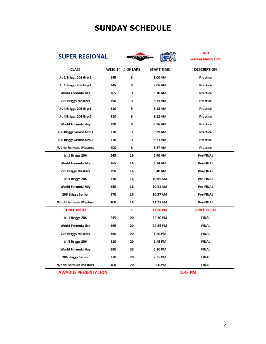# **SUNDAY SCHEDULE**



**DATE** DATE<br>Sunday March 19th

| <b>CLASS</b>                 |     | WEIGHT # OF LAPS | <b>START TIME</b> | <b>DESCRIPTION</b> |
|------------------------------|-----|------------------|-------------------|--------------------|
| Jr. 1 Briggs 206 Grp 1       | 245 | 3                | 8:00 AM           | Practice           |
| Jr. 1 Briggs 206 Grp 1       | 245 | 3                | 8:06 AM           | Practice           |
| World Formula Lite           | 365 | 3                | 8:10 AM           | Practice           |
| <b>206 Briggs Masters</b>    | 390 | з                | 8:14 AM           | Practice           |
| Jr. Il Briggs 206 Grp 1      | 310 | 3                | 8:18 AM           | Practice           |
| Jr. Il Briggs 206 Grp 2      | 310 | 3                | 8:22 AM           | Practice           |
| World Formula Hvy            | 390 | 3                | 8:26 AM           | Practice           |
| 206 Briggs Senior Grp 1      | 370 | 3                | 8:29 AM           | Practice           |
| 206 Briggs Senior Grp 2      | 370 | 3                | 8:33 AM           | Practice           |
| <b>World Formula Masters</b> | 400 | 3                | 8:37 AM           | Practice           |
| Jr. 1 Briggs 206             | 245 | 16               | 8:48 AM           | Pre-FINAL          |
| World Formula Lite           | 365 | 16               | 9:14 AM           | Pre-FINAL          |
| 206 Briggs Masters           | 390 | 16               | 9:40 AM           | Pre-FINAL          |
| Jr. II Briggs 206            | 310 | 16               | 10:05 AM          | Pre-FINAL          |
| World Formula Hvy            | 390 | 16               | 10:31 AM          | Pre-FINAL          |
| 206 Briggs Senior            | 370 | 16               | 10:57 AM          | Pre-FINAL          |
| <b>World Formula Masters</b> | 400 | 16               | 11:23 AM          | Pre-FINAL          |
| <b>LUNCH BREAK</b>           |     | 1                | 12:00 PM          | <b>LUNCH BREAK</b> |
| Jr. 1 Briggs 206             | 245 | 20               | 12:30 PM          | <b>FINAL</b>       |
| World Formula Lite           | 365 | 20               | 12:55 PM          | <b>FINAL</b>       |
| <b>206 Briggs Masters</b>    | 390 | 20               | 1:20 PM           | FINAL              |
| Jr. II Briggs 206            | 310 | 20               | 1:45 PM           | <b>FINAL</b>       |
| World Formula Hvy            | 390 | 20               | 2:10 PM           | FINAL              |
| 206 Briggs Senior            | 370 | 20               | 2:35 PM           | FINAL              |
| <b>World Formula Masters</b> | 400 | 20               | 3:00 PM           | <b>FINAL</b>       |

#### **AWARDS PRESENTATION**

3:45 PM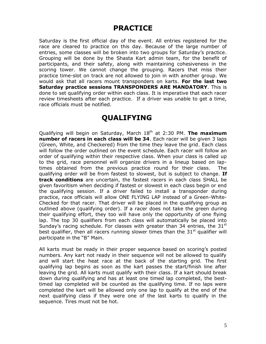# **PRACTICE**

Saturday is the first official day of the event. All entries registered for the race are cleared to practice on this day. Because of the large number of entries, some classes will be broken into two groups for Saturday's practice. Grouping will be done by the Shasta Kart admin team, for the benefit of participants, and their safety, along with maintaining cohesiveness in the scoring tower. We cannot change the grouping. Racers that miss their practice time-slot on track are not allowed to join in with another group. We would ask that all racers mount transponders on karts. **For the last two Saturday practice sessions TRANSPONDERS ARE MANDATORY**. This is done to set qualifying order within each class. It is imperative that each racer review timesheets after each practice. If a driver was unable to get a time, race officials must be notified.

# **QUALIFYING**

Qualifying will begin on Saturday, March 18<sup>th</sup> at 2:30 PM. The maximum **number of racers in each class will be 34**. Each racer will be given 3 laps (Green, White, and Checkered) from the time they leave the grid. Each class will follow the order outlined on the event schedule. Each racer will follow an order of qualifying within their respective class. When your class is called up to the grid, race personnel will organize drivers in a lineup based on laptimes obtained from the previous practice round for their class. The qualifying order will be from fastest to slowest, but is subject to change. **If track conditions** are uncertain, the fastest racers in each class SHALL be given favoritism when deciding if fastest or slowest in each class begin or end the qualifying session. If a driver failed to install a transponder during practice, race officials will allow ONE FLYING LAP instead of a Green-White-Checked for that racer. That driver will be placed in the qualifying group as outlined above (qualifying order). If a racer does not take the green during their qualifying effort, they too will have only the opportunity of one flying lap. The top 30 qualifiers from each class will automatically be placed into Sunday's racing schedule. For classes with greater than 34 entries, the  $31<sup>st</sup>$ best qualifier, then all racers running slower times than the  $31<sup>st</sup>$  qualifier will participate in the "B" Main.

All karts must be ready in their proper sequence based on scoring's posted numbers. Any kart not ready in their sequence will not be allowed to qualify and will start the heat race at the back of the starting grid. The first qualifying lap begins as soon as the kart passes the start/finish line after leaving the grid. All karts must qualify with their class. If a kart should break down during qualifying and has at least one timed lap completed, the besttimed lap completed will be counted as the qualifying time. If no laps were completed the kart will be allowed only one lap to qualify at the end of the next qualifying class if they were one of the last karts to qualify in the sequence. Tires must not be hot.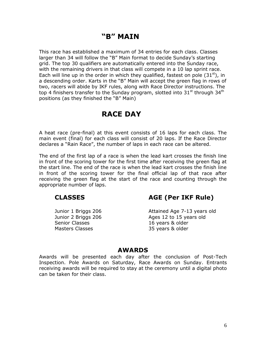# **"B" MAIN**

This race has established a maximum of 34 entries for each class. Classes larger than 34 will follow the "B" Main format to decide Sunday's starting grid. The top 30 qualifiers are automatically entered into the Sunday race, with the remaining drivers in that class will compete in a 10 lap sprint race. Each will line up in the order in which they qualified, fastest on pole  $(31<sup>st</sup>)$ , in a descending order. Karts in the "B" Main will accept the green flag in rows of two, racers will abide by IKF rules, along with Race Director instructions. The top 4 finishers transfer to the Sunday program, slotted into  $31<sup>st</sup>$  through  $34<sup>th</sup>$ positions (as they finished the "B" Main)

# **RACE DAY**

A heat race (pre-final) at this event consists of 16 laps for each class. The main event (final) for each class will consist of 20 laps. If the Race Director declares a "Rain Race", the number of laps in each race can be altered.

The end of the first lap of a race is when the lead kart crosses the finish line in front of the scoring tower for the first time after receiving the green flag at the start line. The end of the race is when the lead kart crosses the finish line in front of the scoring tower for the final official lap of that race after receiving the green flag at the start of the race and counting through the appropriate number of laps.

Senior Classes 16 years & older Masters Classes 35 years & older

**CLASSES AGE (Per IKF Rule)** 

Junior 1 Briggs 206 Attained Age 7-13 years old Junior 2 Briggs 206 Ages 12 to 15 years old

#### **AWARDS**

Awards will be presented each day after the conclusion of Post-Tech Inspection. Pole Awards on Saturday, Race Awards on Sunday. Entrants receiving awards will be required to stay at the ceremony until a digital photo can be taken for their class.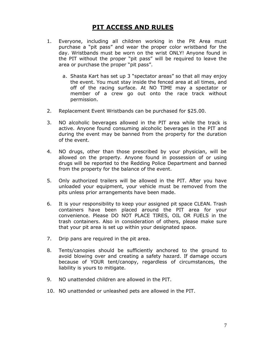# **PIT ACCESS AND RULES**

- 1. Everyone, including all children working in the Pit Area must purchase a "pit pass" and wear the proper color wristband for the day. Wristbands must be worn on the wrist ONLY! Anyone found in the PIT without the proper "pit pass" will be required to leave the area or purchase the proper "pit pass".
	- a. Shasta Kart has set up 3 "spectator areas" so that all may enjoy the event. You must stay inside the fenced area at all times, and off of the racing surface. At NO TIME may a spectator or member of a crew go out onto the race track without permission.
- 2. Replacement Event Wristbands can be purchased for \$25.00.
- 3. NO alcoholic beverages allowed in the PIT area while the track is active. Anyone found consuming alcoholic beverages in the PIT and during the event may be banned from the property for the duration of the event.
- 4. NO drugs, other than those prescribed by your physician, will be allowed on the property. Anyone found in possession of or using drugs will be reported to the Redding Police Department and banned from the property for the balance of the event.
- 5. Only authorized trailers will be allowed in the PIT. After you have unloaded your equipment, your vehicle must be removed from the pits unless prior arrangements have been made.
- 6. It is your responsibility to keep your assigned pit space CLEAN. Trash containers have been placed around the PIT area for your convenience. Please DO NOT PLACE TIRES, OIL OR FUELS in the trash containers. Also in consideration of others, please make sure that your pit area is set up within your designated space.
- 7. Drip pans are required in the pit area.
- 8. Tents/canopies should be sufficiently anchored to the ground to avoid blowing over and creating a safety hazard. If damage occurs because of YOUR tent/canopy, regardless of circumstances, the liability is yours to mitigate.
- 9. NO unattended children are allowed in the PIT.
- 10. NO unattended or unleashed pets are allowed in the PIT.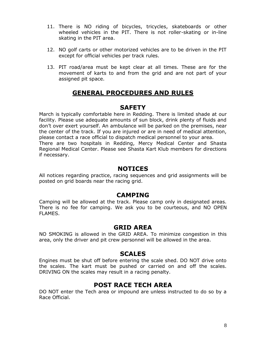- 11. There is NO riding of bicycles, tricycles, skateboards or other wheeled vehicles in the PIT. There is not roller-skating or in-line skating in the PIT area.
- 12. NO golf carts or other motorized vehicles are to be driven in the PIT except for official vehicles per track rules.
- 13. PIT road/area must be kept clear at all times. These are for the movement of karts to and from the grid and are not part of your assigned pit space.

# **GENERAL PROCEDURES AND RULES**

#### **SAFETY**

March is typically comfortable here in Redding. There is limited shade at our facility. Please use adequate amounts of sun block, drink plenty of fluids and don't over exert yourself. An ambulance will be parked on the premises, near the center of the track. If you are injured or are in need of medical attention, please contact a race official to dispatch medical personnel to your area. There are two hospitals in Redding, Mercy Medical Center and Shasta Regional Medical Center. Please see Shasta Kart Klub members for directions if necessary.

#### **NOTICES**

All notices regarding practice, racing sequences and grid assignments will be posted on grid boards near the racing grid.

### **CAMPING**

Camping will be allowed at the track. Please camp only in designated areas. There is no fee for camping. We ask you to be courteous, and NO OPEN FLAMES.

### **GRID AREA**

NO SMOKING is allowed in the GRID AREA. To minimize congestion in this area, only the driver and pit crew personnel will be allowed in the area.

#### **SCALES**

Engines must be shut off before entering the scale shed. DO NOT drive onto the scales. The kart must be pushed or carried on and off the scales. DRIVING ON the scales may result in a racing penalty.

# **POST RACE TECH AREA**

DO NOT enter the Tech area or impound are unless instructed to do so by a Race Official.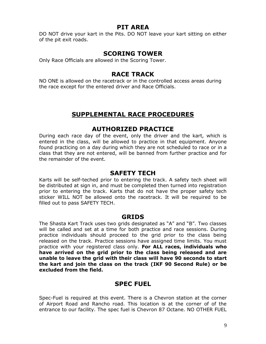#### **PIT AREA**

DO NOT drive your kart in the Pits. DO NOT leave your kart sitting on either of the pit exit roads.

## **SCORING TOWER**

Only Race Officials are allowed in the Scoring Tower.

## **RACE TRACK**

NO ONE is allowed on the racetrack or in the controlled access areas during the race except for the entered driver and Race Officials.

# **SUPPLEMENTAL RACE PROCEDURES**

#### **AUTHORIZED PRACTICE**

During each race day of the event, only the driver and the kart, which is entered in the class, will be allowed to practice in that equipment. Anyone found practicing on a day during which they are not scheduled to race or in a class that they are not entered, will be banned from further practice and for the remainder of the event.

#### **SAFETY TECH**

Karts will be self-teched prior to entering the track. A safety tech sheet will be distributed at sign in, and must be completed then turned into registration prior to entering the track. Karts that do not have the proper safety tech sticker WILL NOT be allowed onto the racetrack. It will be required to be filled out to pass SAFETY TECH.

#### **GRIDS**

The Shasta Kart Track uses two grids designated as "A" and "B". Two classes will be called and set at a time for both practice and race sessions. During practice individuals should proceed to the grid prior to the class being released on the track. Practice sessions have assigned time limits. You must practice with your registered class only. **For ALL races, individuals who have arrived on the grid prior to the class being released and are unable to leave the grid with their class will have 90 seconds to start the kart and join the class on the track (IKF 90 Second Rule) or be excluded from the field.** 

# **SPEC FUEL**

Spec-Fuel is required at this event. There is a Chevron station at the corner of Airport Road and Rancho road. This location is at the corner of of the entrance to our facility. The spec fuel is Chevron 87 Octane. NO OTHER FUEL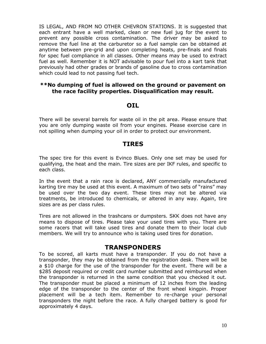IS LEGAL, AND FROM NO OTHER CHEVRON STATIONS. It is suggested that each entrant have a well marked, clean or new fuel jug for the event to prevent any possible cross contamination. The driver may be asked to remove the fuel line at the carburetor so a fuel sample can be obtained at anytime between pre-grid and upon completing heats, pre-finals and finals for spec fuel compliance in all classes. Other means may be used to extract fuel as well. Remember it is NOT advisable to pour fuel into a kart tank that previously had other grades or brands of gasoline due to cross contamination which could lead to not passing fuel tech.

#### **\*\*No dumping of fuel is allowed on the ground or pavement on the race facility properties. Disqualification may result.**

#### **OIL**

There will be several barrels for waste oil in the pit area. Please ensure that you are only dumping waste oil from your engines. Please exercise care in not spilling when dumping your oil in order to protect our environment.

#### **TIRES**

The spec tire for this event is Evinco Blues. Only one set may be used for qualifying, the heat and the main. Tire sizes are per IKF rules, and specific to each class.

In the event that a rain race is declared, ANY commercially manufactured karting tire may be used at this event. A maximum of two sets of "rains" may be used over the two day event. These tires may not be altered via treatments, be introduced to chemicals, or altered in any way. Again, tire sizes are as per class rules.

Tires are not allowed in the trashcans or dumpsters. SKK does not have any means to dispose of tires. Please take your used tires with you. There are some racers that will take used tires and donate them to their local club members. We will try to announce who is taking used tires for donation.

#### **TRANSPONDERS**

To be scored, all karts must have a transponder. If you do not have a transponder, they may be obtained from the registration desk. There will be a \$10 charge for the use of the transponder for the event. There will be a \$285 deposit required or credit card number submitted and reimbursed when the transponder is returned in the same condition that you checked it out. The transponder must be placed a minimum of 12 inches from the leading edge of the transponder to the center of the front wheel kingpin. Proper placement will be a tech item. Remember to re-charge your personal transponders the night before the race. A fully charged battery is good for approximately 4 days.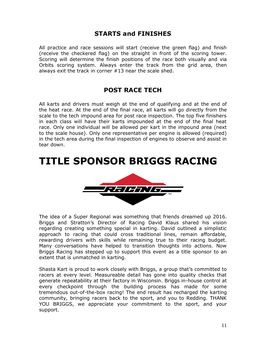# **STARTS and FINISHES**

All practice and race sessions will start (receive the green flag) and finish (receive the checkered flag) on the straight in front of the scoring tower. Scoring will determine the finish positions of the race both visually and via Orbits scoring system. Always enter the track from the grid area, then always exit the track in corner #13 near the scale shed.

## **POST RACE TECH**

All karts and drivers must weigh at the end of qualifying and at the end of the heat race. At the end of the final race, all karts will go directly from the scale to the tech impound area for post race inspection. The top five finishers in each class will have their karts impounded at the end of the final heat race. Only one individual will be allowed per kart in the impound area (next to the scale house). Only one representative per engine is allowed (required) in the tech area during the final inspection of engines to observe and assist in tear down.

# **TITLE SPONSOR BRIGGS RACING**



The idea of a Super Regional was something that friends dreamed up 2016. Briggs and Stratton's Director of Racing David Klaus shared his vision regarding creating something special in karting. David outlined a simplistic approach to racing that could cross traditional lines, remain affordable, rewarding drivers with skills while remaining true to their racing budget. Many conversations have helped to transition thoughts into actions. Now Briggs Racing has stepped up to support this event as a title sponsor to an extent that is unmatched in karting.

Shasta Kart is proud to work closely with Briggs, a group that's committed to racers at every level. Measureable detail has gone into quality checks that generate repeatability at their factory in Wisconsin. Briggs in-house control at every checkpoint through the building process has made for some tremendous out-of-the-box racing! The end result has recharged the karting community, bringing racers back to the sport, and you to Redding. THANK YOU BRIGGS, we appreciate your commitment to the sport, and your support.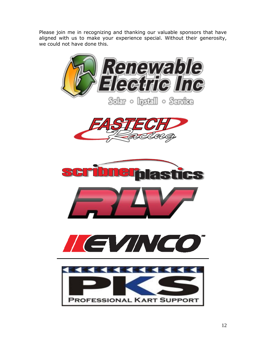Please join me in recognizing and thanking our valuable sponsors that have aligned with us to make your experience special. Without their generosity, we could not have done this.

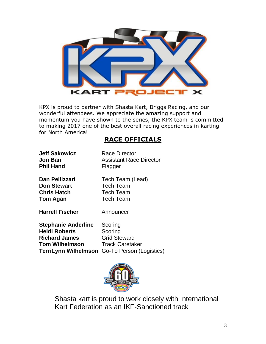

KPX is proud to partner with Shasta Kart, Briggs Racing, and our wonderful attendees. We appreciate the amazing support and momentum you have shown to the series, the KPX team is committed to making 2017 one of the best overall racing experiences in karting for North America!

# **RACE OFFICIALS**

**Jeff Sakowicz** Race Director **Phil Hand Flagger** 

**Jon Ban Assistant Race Director** 

**Dan Pellizzari** Tech Team (Lead) **Don Stewart** Tech Team **Chris Hatch** Tech Team **Tom Agan** Tech Team

**Harrell Fischer** Announcer

**Stephanie Anderline** Scoring **Heidi Roberts** Scoring **Richard James** Grid Steward **Tom Wilhelmson** Track Caretaker **TerriLynn Wilhelmson** Go-To Person (Logistics)



Shasta kart is proud to work closely with International Kart Federation as an IKF-Sanctioned track